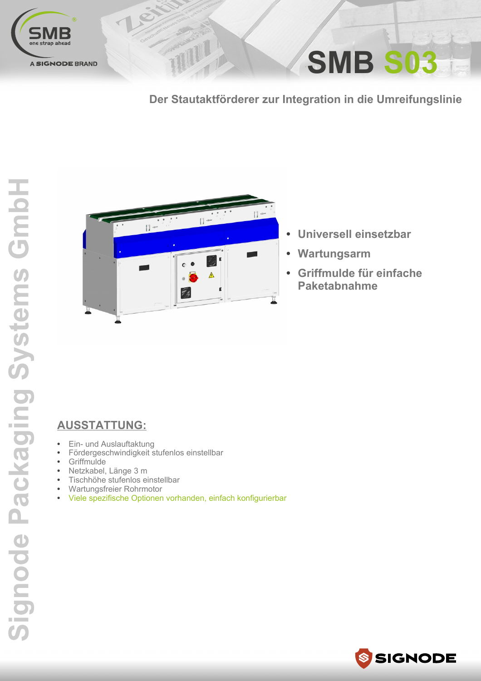

## SMB S03

Der Stautaktförderer zur Integration in die Umreifungslinie



TITULI

- Universell einsetzbar
- Wartungsarm  $\bullet$
- Griffmulde für einfache  $\bullet$ **Paketabnahme**

## **AUSSTATTUNG:**

- Ein- und Auslauftaktung  $\bullet$
- Fördergeschwindigkeit stufenlos einstellbar  $\bullet$
- Griffmulde  $\bullet$
- Netzkabel, Länge 3 m  $\bullet$
- Tischhöhe stufenlos einstellbar  $\bullet$
- Wartungsfreier Rohrmotor  $\bullet$
- Viele spezifische Optionen vorhanden, einfach konfigurierbar